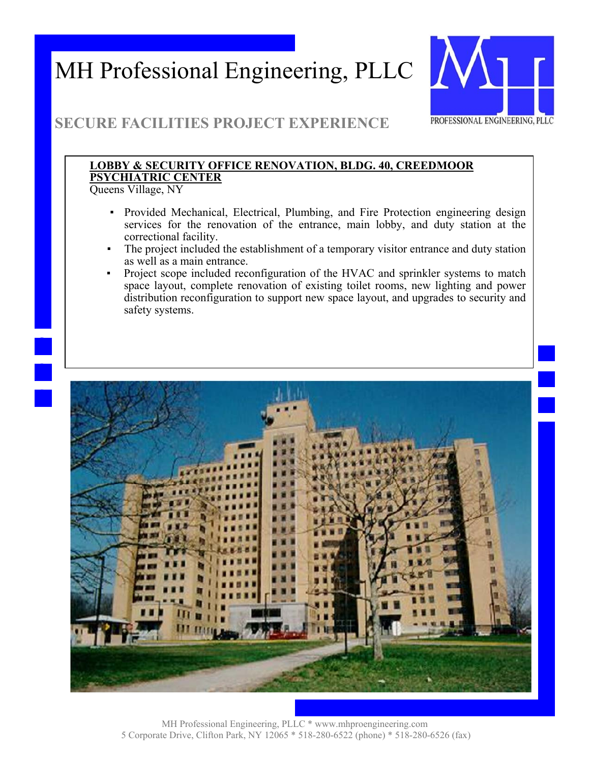

### **SECURE FACILITIES PROJECT EXPERIENCE**

### **LOBBY & SECURITY OFFICE RENOVATION, BLDG. 40, CREEDMOOR PSYCHIATRIC CENTER**

Queens Village, NY

- Provided Mechanical, Electrical, Plumbing, and Fire Protection engineering design services for the renovation of the entrance, main lobby, and duty station at the correctional facility.
- The project included the establishment of a temporary visitor entrance and duty station as well as a main entrance.
- Project scope included reconfiguration of the HVAC and sprinkler systems to match space layout, complete renovation of existing toilet rooms, new lighting and power distribution reconfiguration to support new space layout, and upgrades to security and safety systems.

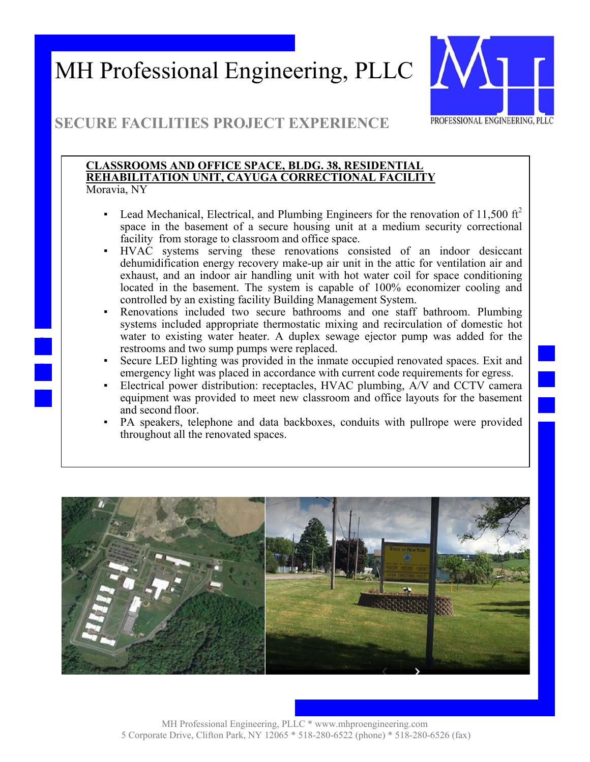

### **SECURE FACILITIES PROJECT EXPERIENCE**

#### **CLASSROOMS AND OFFICE SPACE, BLDG. 38, RESIDENTIAL REHABILITATION UNIT, CAYUGA CORRECTIONAL FACILITY**  Moravia, NY

- **•** Lead Mechanical, Electrical, and Plumbing Engineers for the renovation of 11,500 ft<sup>2</sup> space in the basement of a secure housing unit at a medium security correctional facility from storage to classroom and office space.
- HVAC systems serving these renovations consisted of an indoor desiccant dehumidification energy recovery make-up air unit in the attic for ventilation air and exhaust, and an indoor air handling unit with hot water coil for space conditioning located in the basement. The system is capable of 100% economizer cooling and controlled by an existing facility Building Management System.
- Renovations included two secure bathrooms and one staff bathroom. Plumbing systems included appropriate thermostatic mixing and recirculation of domestic hot water to existing water heater. A duplex sewage ejector pump was added for the restrooms and two sump pumps were replaced.
- Secure LED lighting was provided in the inmate occupied renovated spaces. Exit and emergency light was placed in accordance with current code requirements for egress.
- Electrical power distribution: receptacles, HVAC plumbing, A/V and CCTV camera equipment was provided to meet new classroom and office layouts for the basement and second floor.
- PA speakers, telephone and data backboxes, conduits with pullrope were provided throughout all the renovated spaces.

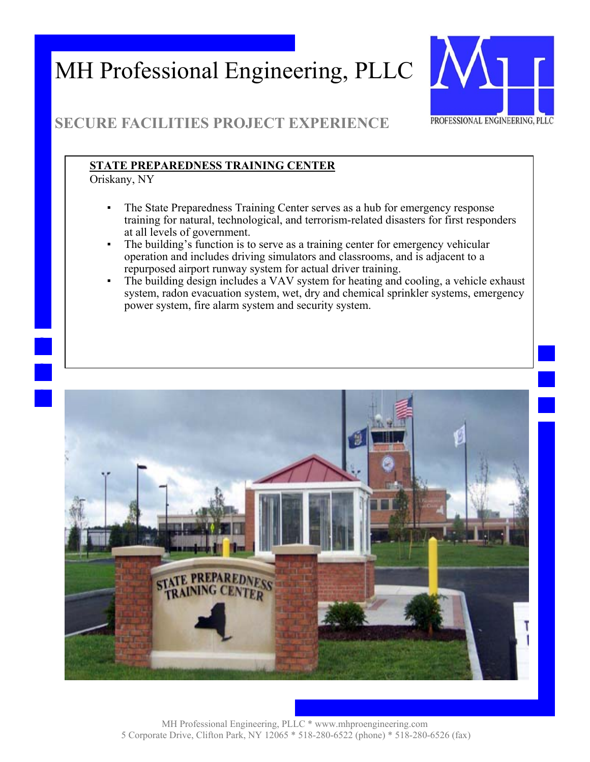

### **SECURE FACILITIES PROJECT EXPERIENCE**

#### **STATE PREPAREDNESS TRAINING CENTER**

Oriskany, NY

- The State Preparedness Training Center serves as a hub for emergency response training for natural, technological, and terrorism-related disasters for first responders at all levels of government.
- The building's function is to serve as a training center for emergency vehicular operation and includes driving simulators and classrooms, and is adjacent to a repurposed airport runway system for actual driver training.
- The building design includes a VAV system for heating and cooling, a vehicle exhaust system, radon evacuation system, wet, dry and chemical sprinkler systems, emergency power system, fire alarm system and security system.

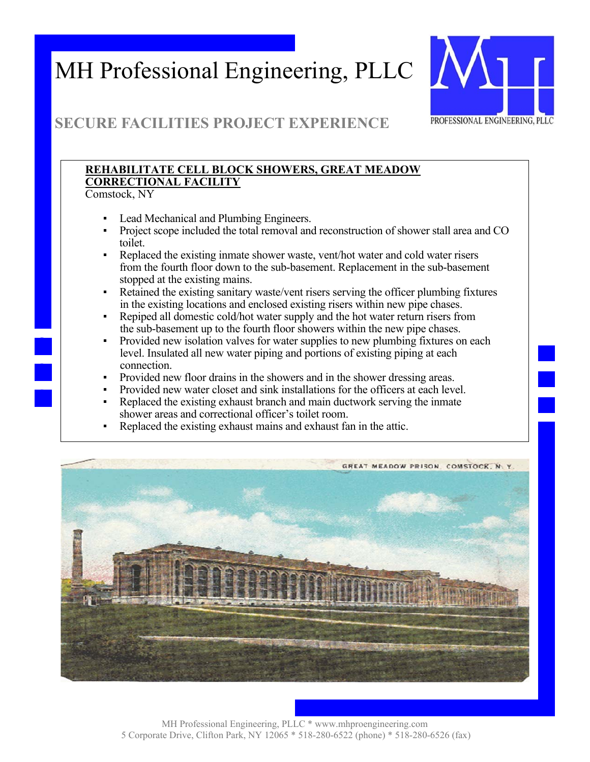

### **SECURE FACILITIES PROJECT EXPERIENCE**

### **REHABILITATE CELL BLOCK SHOWERS, GREAT MEADOW CORRECTIONAL FACILITY**

Comstock, NY

- Lead Mechanical and Plumbing Engineers.
- Project scope included the total removal and reconstruction of shower stall area and CO toilet.
- Replaced the existing inmate shower waste, vent/hot water and cold water risers from the fourth floor down to the sub-basement. Replacement in the sub-basement stopped at the existing mains.
- Retained the existing sanitary waste/vent risers serving the officer plumbing fixtures in the existing locations and enclosed existing risers within new pipe chases.
- Repiped all domestic cold/hot water supply and the hot water return risers from the sub-basement up to the fourth floor showers within the new pipe chases.
- Provided new isolation valves for water supplies to new plumbing fixtures on each level. Insulated all new water piping and portions of existing piping at each connection.
- Provided new floor drains in the showers and in the shower dressing areas.
- Provided new water closet and sink installations for the officers at each level.
- Replaced the existing exhaust branch and main ductwork serving the inmate shower areas and correctional officer's toilet room.
- Replaced the existing exhaust mains and exhaust fan in the attic.

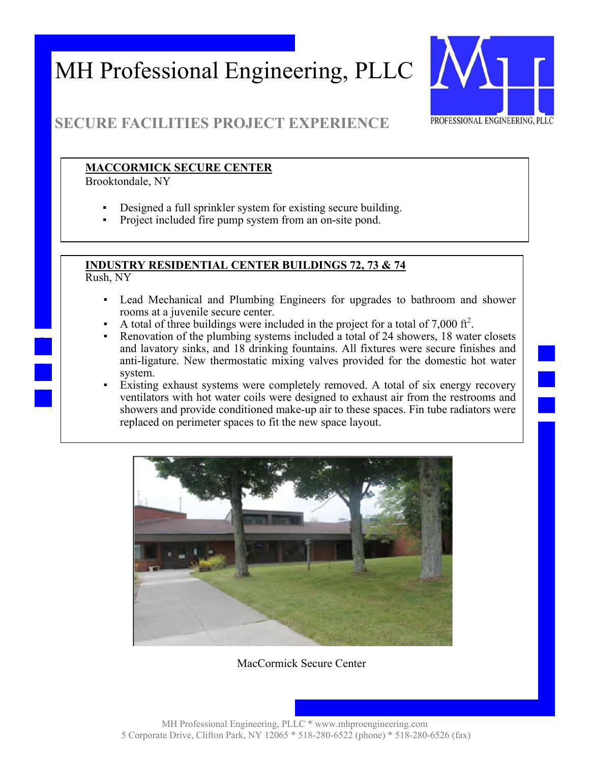

### **SECURE FACILITIES PROJECT EXPERIENCE**

#### **MACCORMICK SECURE CENTER**

Brooktondale, NY

- Designed a full sprinkler system for existing secure building.
- Project included fire pump system from an on-site pond.

### **INDUSTRY RESIDENTIAL CENTER BUILDINGS 72, 73 & 74**

Rush, NY

- Lead Mechanical and Plumbing Engineers for upgrades to bathroom and shower rooms at a juvenile secure center.
- A total of three buildings were included in the project for a total of 7,000  $\text{ft}^2$ .
- Renovation of the plumbing systems included a total of 24 showers, 18 water closets and lavatory sinks, and 18 drinking fountains. All fixtures were secure finishes and anti-ligature. New thermostatic mixing valves provided for the domestic hot water system.
- Existing exhaust systems were completely removed. A total of six energy recovery ventilators with hot water coils were designed to exhaust air from the restrooms and showers and provide conditioned make-up air to these spaces. Fin tube radiators were replaced on perimeter spaces to fit the new space layout.



MacCormick Secure Center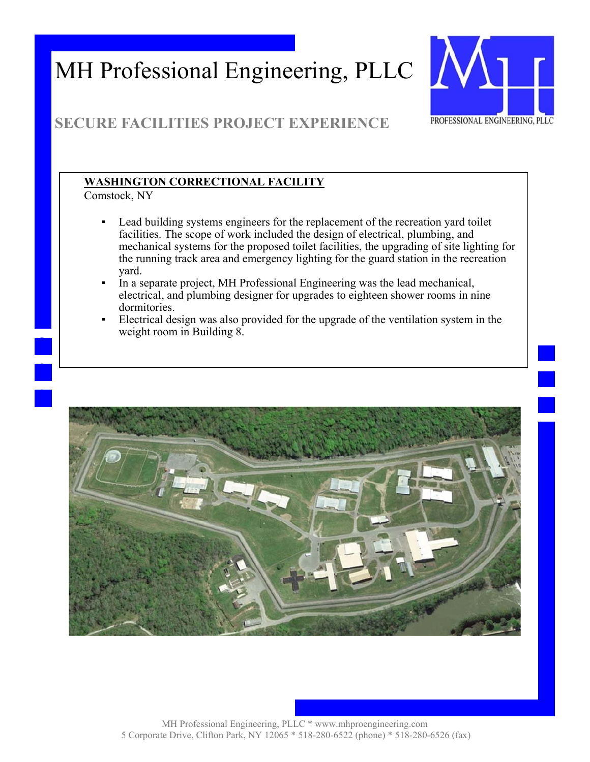

### **SECURE FACILITIES PROJECT EXPERIENCE**

### **WASHINGTON CORRECTIONAL FACILITY**

Comstock, NY

- Lead building systems engineers for the replacement of the recreation yard toilet facilities. The scope of work included the design of electrical, plumbing, and mechanical systems for the proposed toilet facilities, the upgrading of site lighting for the running track area and emergency lighting for the guard station in the recreation yard.
- In a separate project, MH Professional Engineering was the lead mechanical, electrical, and plumbing designer for upgrades to eighteen shower rooms in nine dormitories.
- Electrical design was also provided for the upgrade of the ventilation system in the weight room in Building 8.